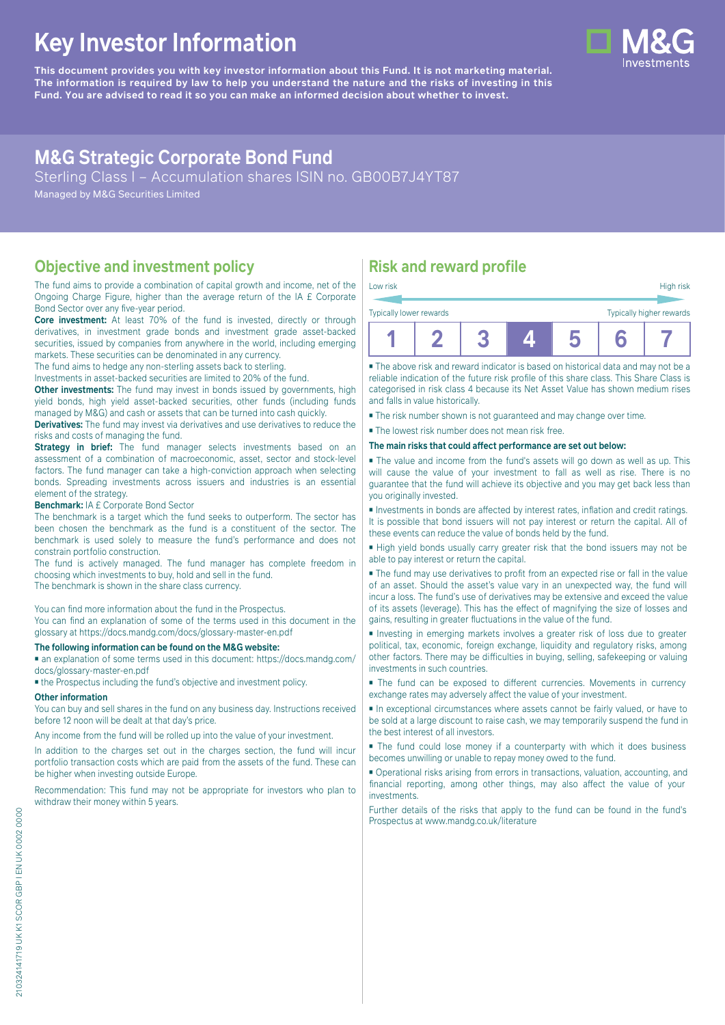# **Key Investor Information**

**This document provides you with key investor information about this Fund. It is not marketing material.** The information is required by law to help you understand the nature and the risks of investing in this **Fund. You are advised to read it so you can make an informed decision about whether to invest.**

# **M&G Strategic Corporate Bond Fund**

Sterling Class I – Accumulation shares ISIN no. GB00B7J4YT87

Managed by M&G Securities Limited

### **Objective and investment policy**

The fund aims to provide a combination of capital growth and income, net of the Ongoing Charge Figure, higher than the average return of the IA £ Corporate Bond Sector over any five-year period.

**Core investment:** At least 70% of the fund is invested, directly or through derivatives, in investment grade bonds and investment grade asset-backed securities, issued by companies from anywhere in the world, including emerging markets. These securities can be denominated in any currency.

The fund aims to hedge any non-sterling assets back to sterling.

Investments in asset-backed securities are limited to 20% of the fund.

**Other investments:** The fund may invest in bonds issued by governments, high yield bonds, high yield asset-backed securities, other funds (including funds managed by M&G) and cash or assets that can be turned into cash quickly.

**Derivatives:** The fund may invest via derivatives and use derivatives to reduce the

risks and costs of managing the fund. **Strategy in brief:** The fund manager selects investments based on an assessment of a combination of macroeconomic, asset, sector and stock-level factors. The fund manager can take a high-conviction approach when selecting bonds. Spreading investments across issuers and industries is an essential element of the strategy.

#### **Benchmark:** IA £ Corporate Bond Sector

The benchmark is a target which the fund seeks to outperform. The sector has been chosen the benchmark as the fund is a constituent of the sector. The benchmark is used solely to measure the fund's performance and does not constrain portfolio construction.

The fund is actively managed. The fund manager has complete freedom in choosing which investments to buy, hold and sell in the fund.

The benchmark is shown in the share class currency.

You can find more information about the fund in the Prospectus.

You can find an explanation of some of the terms used in this document in the glossary at https://docs.mandg.com/docs/glossary-master-en.pdf

### **The following information can be found on the M&G website:**

■ an explanation of some terms used in this document: https://docs.mandg.com/ docs/glossary-master-en.pdf

■ the Prospectus including the fund's objective and investment policy.

### **Other information**

You can buy and sell shares in the fund on any business day. Instructions received before 12 noon will be dealt at that day's price.

Any income from the fund will be rolled up into the value of your investment.

In addition to the charges set out in the charges section, the fund will incur portfolio transaction costs which are paid from the assets of the fund. These can be higher when investing outside Europe.

Recommendation: This fund may not be appropriate for investors who plan to withdraw their money within 5 years.

# **Risk and reward profile**

| Low risk                |  |  | High risk                |
|-------------------------|--|--|--------------------------|
| Typically lower rewards |  |  | Typically higher rewards |
|                         |  |  |                          |

■ The above risk and reward indicator is based on historical data and may not be a reliable indication of the future risk profile of this share class. This Share Class is categorised in risk class 4 because its Net Asset Value has shown medium rises and falls in value historically.

■ The risk number shown is not guaranteed and may change over time.

■ The lowest risk number does not mean risk free.

#### **The main risks that could affect performance are set out below:**

■ The value and income from the fund's assets will go down as well as up. This will cause the value of your investment to fall as well as rise. There is no guarantee that the fund will achieve its objective and you may get back less than you originally invested.

■ Investments in bonds are affected by interest rates, inflation and credit ratings. It is possible that bond issuers will not pay interest or return the capital. All of these events can reduce the value of bonds held by the fund.

■ High yield bonds usually carry greater risk that the bond issuers may not be able to pay interest or return the capital.

■ The fund may use derivatives to profit from an expected rise or fall in the value of an asset. Should the asset's value vary in an unexpected way, the fund will incur a loss. The fund's use of derivatives may be extensive and exceed the value of its assets (leverage). This has the effect of magnifying the size of losses and gains, resulting in greater fluctuations in the value of the fund.

■ Investing in emerging markets involves a greater risk of loss due to greater political, tax, economic, foreign exchange, liquidity and regulatory risks, among other factors. There may be difficulties in buying, selling, safekeeping or valuing investments in such countries.

■ The fund can be exposed to different currencies. Movements in currency exchange rates may adversely affect the value of your investment.

■ In exceptional circumstances where assets cannot be fairly valued, or have to be sold at a large discount to raise cash, we may temporarily suspend the fund in the best interest of all investors.

■ The fund could lose money if a counterparty with which it does business becomes unwilling or unable to repay money owed to the fund.

■ Operational risks arising from errors in transactions, valuation, accounting, and financial reporting, among other things, may also affect the value of your investments.

Further details of the risks that apply to the fund can be found in the fund's Prospectus at [www.mandg.co.uk/literature](http://www.mandg.co.uk/literature)